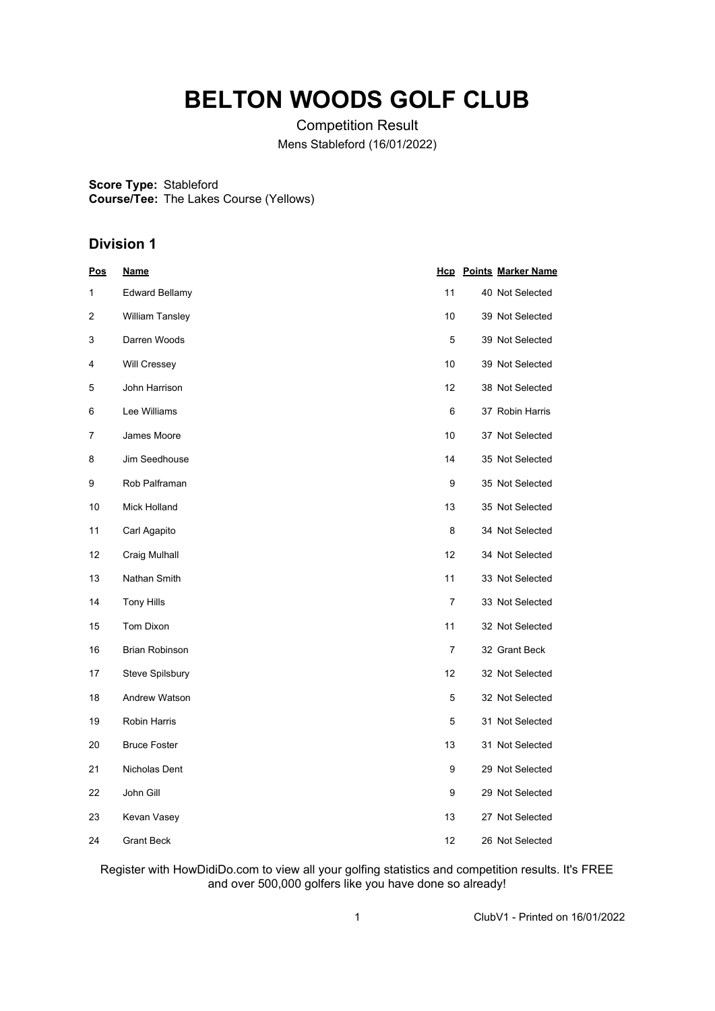# **BELTON WOODS GOLF CLUB**

Competition Result Mens Stableford (16/01/2022)

**Score Type:** Stableford **Course/Tee:** The Lakes Course (Yellows)

## **Division 1**

| <u>Pos</u> | <u>Name</u>           |                | <b>Hcp</b> Points Marker Name |
|------------|-----------------------|----------------|-------------------------------|
| 1          | <b>Edward Bellamy</b> | 11             | 40 Not Selected               |
| 2          | William Tansley       | 10             | 39 Not Selected               |
| 3          | Darren Woods          | 5              | 39 Not Selected               |
| 4          | <b>Will Cressey</b>   | 10             | 39 Not Selected               |
| 5          | John Harrison         | 12             | 38 Not Selected               |
| 6          | Lee Williams          | 6              | 37 Robin Harris               |
| 7          | James Moore           | 10             | 37 Not Selected               |
| 8          | Jim Seedhouse         | 14             | 35 Not Selected               |
| 9          | Rob Palframan         | 9              | 35 Not Selected               |
| 10         | Mick Holland          | 13             | 35 Not Selected               |
| 11         | Carl Agapito          | 8              | 34 Not Selected               |
| 12         | Craig Mulhall         | 12             | 34 Not Selected               |
| 13         | Nathan Smith          | 11             | 33 Not Selected               |
| 14         | <b>Tony Hills</b>     | $\overline{7}$ | 33 Not Selected               |
| 15         | <b>Tom Dixon</b>      | 11             | 32 Not Selected               |
| 16         | <b>Brian Robinson</b> | 7              | 32 Grant Beck                 |
| 17         | Steve Spilsbury       | 12             | 32 Not Selected               |
| 18         | Andrew Watson         | 5              | 32 Not Selected               |
| 19         | <b>Robin Harris</b>   | 5              | 31 Not Selected               |
| 20         | <b>Bruce Foster</b>   | 13             | 31 Not Selected               |
| 21         | Nicholas Dent         | 9              | 29 Not Selected               |
| 22         | John Gill             | 9              | 29 Not Selected               |
| 23         | Kevan Vasey           | 13             | 27 Not Selected               |
| 24         | <b>Grant Beck</b>     | 12             | 26 Not Selected               |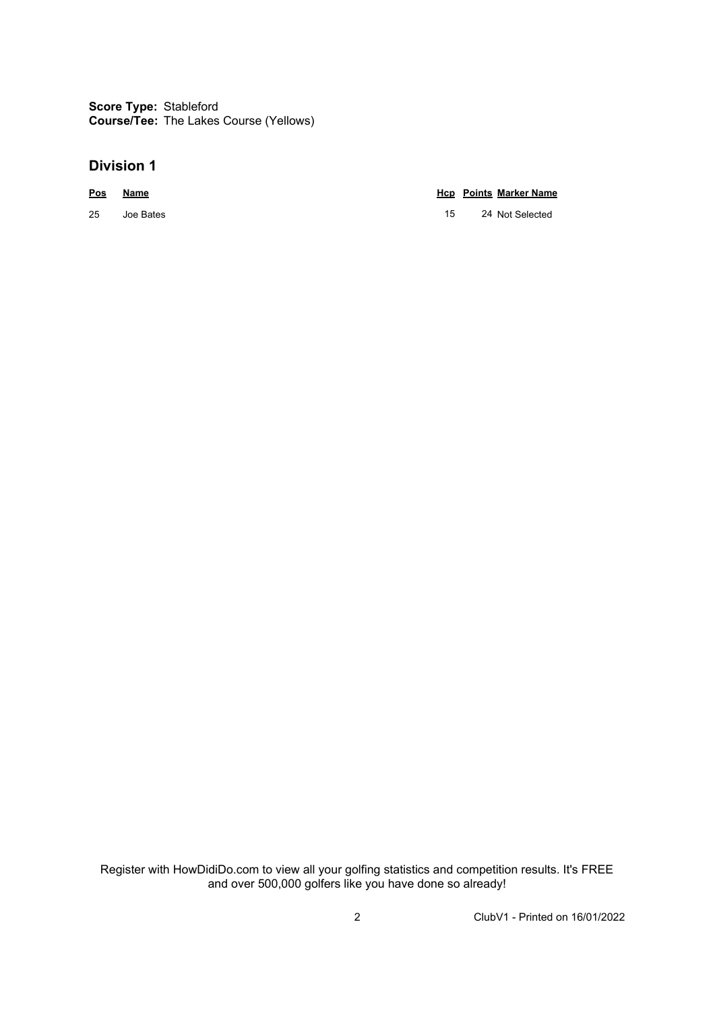**Score Type:** Stableford **Course/Tee:** The Lakes Course (Yellows)

### **Division 1**

### **Pos Name Hcp Points Marker Name**

25 Joe Bates 2002 2003 2004 15 24 Not Selected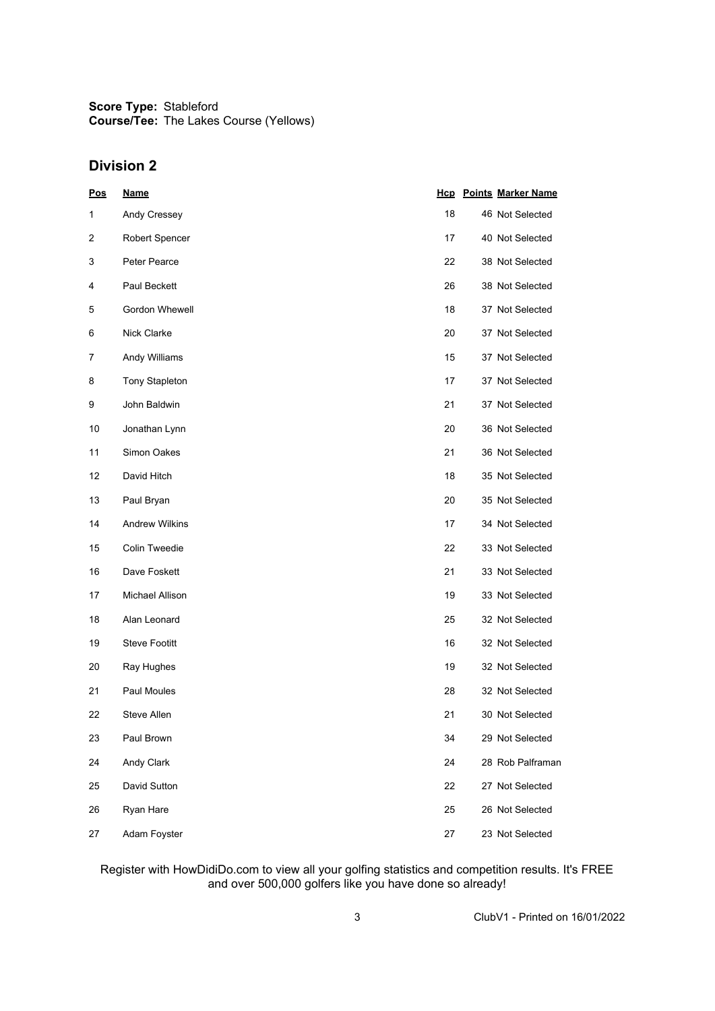**Score Type:** Stableford **Course/Tee:** The Lakes Course (Yellows)

### **Division 2**

| Pos | <b>Name</b>           |    | <b>Hcp</b> Points Marker Name |
|-----|-----------------------|----|-------------------------------|
| 1   | Andy Cressey          | 18 | 46 Not Selected               |
| 2   | <b>Robert Spencer</b> | 17 | 40 Not Selected               |
| 3   | Peter Pearce          | 22 | 38 Not Selected               |
| 4   | Paul Beckett          | 26 | 38 Not Selected               |
| 5   | Gordon Whewell        | 18 | 37 Not Selected               |
| 6   | Nick Clarke           | 20 | 37 Not Selected               |
| 7   | Andy Williams         | 15 | 37 Not Selected               |
| 8   | <b>Tony Stapleton</b> | 17 | 37 Not Selected               |
| 9   | John Baldwin          | 21 | 37 Not Selected               |
| 10  | Jonathan Lynn         | 20 | 36 Not Selected               |
| 11  | Simon Oakes           | 21 | 36 Not Selected               |
| 12  | David Hitch           | 18 | 35 Not Selected               |
| 13  | Paul Bryan            | 20 | 35 Not Selected               |
| 14  | <b>Andrew Wilkins</b> | 17 | 34 Not Selected               |
| 15  | Colin Tweedie         | 22 | 33 Not Selected               |
| 16  | Dave Foskett          | 21 | 33 Not Selected               |
| 17  | Michael Allison       | 19 | 33 Not Selected               |
| 18  | Alan Leonard          | 25 | 32 Not Selected               |
| 19  | <b>Steve Footitt</b>  | 16 | 32 Not Selected               |
| 20  | Ray Hughes            | 19 | 32 Not Selected               |
| 21  | Paul Moules           | 28 | 32 Not Selected               |
| 22  | Steve Allen           | 21 | 30 Not Selected               |
| 23  | Paul Brown            | 34 | 29 Not Selected               |
| 24  | Andy Clark            | 24 | 28 Rob Palframan              |
| 25  | David Sutton          | 22 | 27 Not Selected               |
| 26  | Ryan Hare             | 25 | 26 Not Selected               |
| 27  | Adam Foyster          | 27 | 23 Not Selected               |